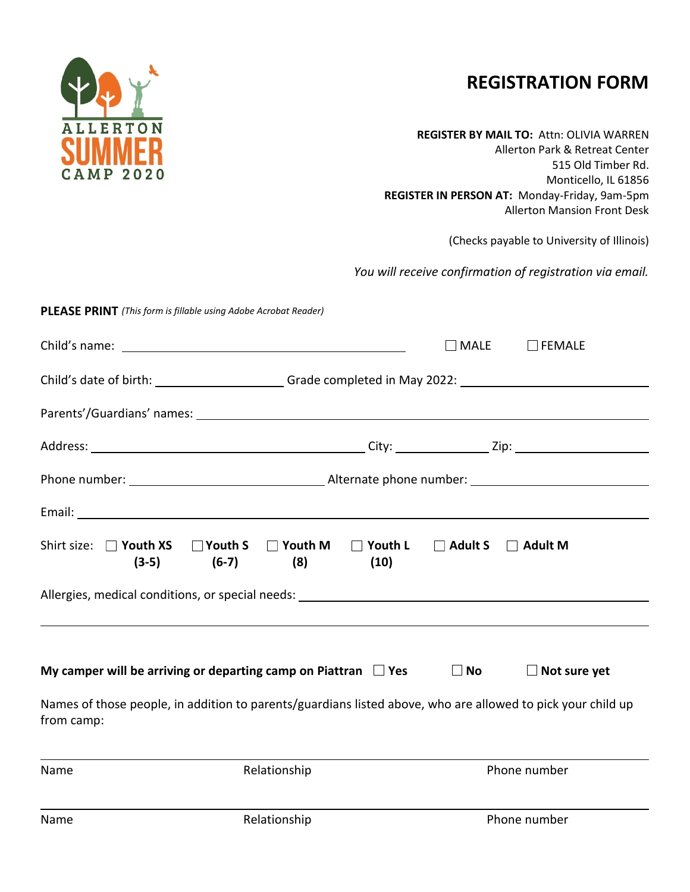# **REGISTRATION FORM**

**REGISTER BY MAIL TO:** Attn: OLIVIA WARREN Allerton Park & Retreat Center 515 Old Timber Rd. Monticello, IL 61856 **REGISTER IN PERSON AT:** Monday-Friday, 9am-5pm Allerton Mansion Front Desk

(Checks payable to University of Illinois)

*You will receive confirmation of registration via email.* 

#### **PLEASE PRINT**  *(This form is fillable using Adobe Acrobat Reader)*

|                                                       |                                                                                                                                                                                                                               |                        | $\sqcap$ MALE                 | $\Box$ FEMALE       |  |  |
|-------------------------------------------------------|-------------------------------------------------------------------------------------------------------------------------------------------------------------------------------------------------------------------------------|------------------------|-------------------------------|---------------------|--|--|
|                                                       |                                                                                                                                                                                                                               |                        |                               |                     |  |  |
|                                                       | Parents'/Guardians' names: Notified and the series of the series of the series of the series of the series of the series of the series of the series of the series of the series of the series of the series of the series of |                        |                               |                     |  |  |
|                                                       |                                                                                                                                                                                                                               |                        |                               |                     |  |  |
|                                                       |                                                                                                                                                                                                                               |                        |                               |                     |  |  |
|                                                       |                                                                                                                                                                                                                               |                        |                               |                     |  |  |
| Shirt size: $\Box$ Youth XS $\Box$ Youth S<br>$(3-5)$ | $\Box$ Youth M<br>(8)<br>$(6-7)$                                                                                                                                                                                              | $\Box$ Youth L<br>(10) | $\Box$ Adult S $\Box$ Adult M |                     |  |  |
|                                                       |                                                                                                                                                                                                                               |                        |                               |                     |  |  |
|                                                       | My camper will be arriving or departing camp on Piattran $\Box$ Yes                                                                                                                                                           |                        | $\Box$ No $\Box$              | $\Box$ Not sure yet |  |  |
| from camp:                                            | Names of those people, in addition to parents/guardians listed above, who are allowed to pick your child up                                                                                                                   |                        |                               |                     |  |  |
| Name                                                  | Relationship                                                                                                                                                                                                                  |                        |                               | Phone number        |  |  |
| Name                                                  | Relationship                                                                                                                                                                                                                  |                        |                               | Phone number        |  |  |

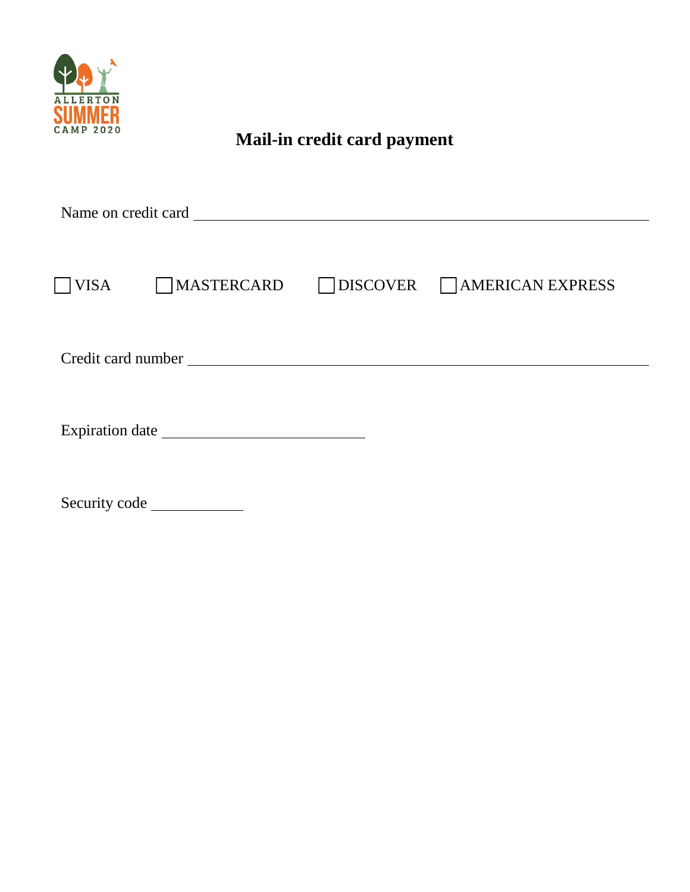$\Box$  $\hfill\Box$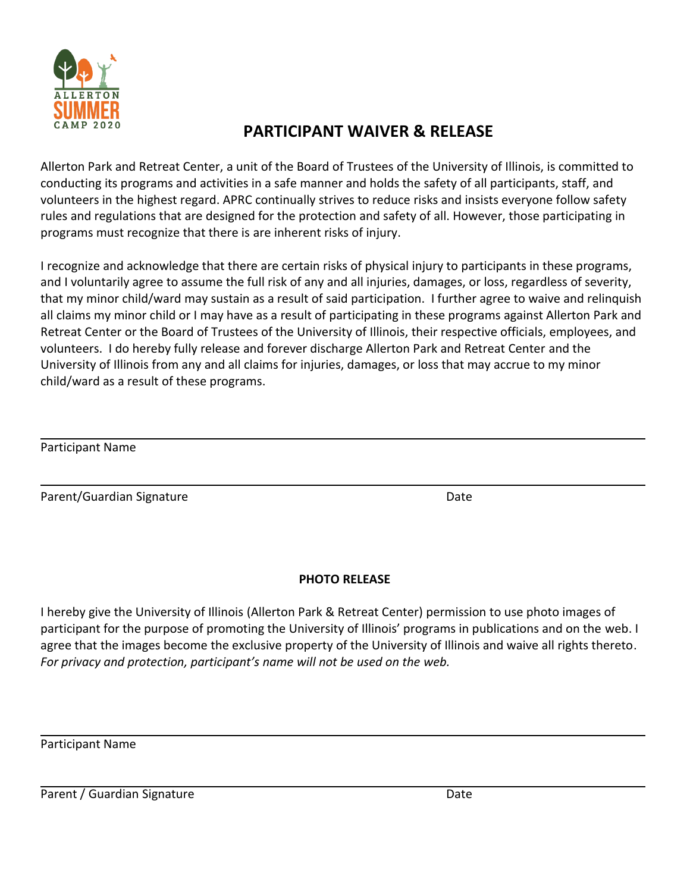### **PARTICIPANT WAIVER & RELEASE**

Allerton Park and Retreat Center, a unit of the Board of Trustees of the University of Illinois, is committed to conducting its programs and activities in a safe manner and holds the safety of all participants, staff, and volunteers in the highest regard. APRC continually strives to reduce risks and insists everyone follow safety rules and regulations that are designed for the protection and safety of all. However, those participating in programs must recognize that there is are inherent risks of injury.

I recognize and acknowledge that there are certain risks of physical injury to participants in these programs, and I voluntarily agree to assume the full risk of any and all injuries, damages, or loss, regardless of severity, that my minor child/ward may sustain as a result of said participation. I further agree to waive and relinquish all claims my minor child or I may have as a result of participating in these programs against Allerton Park and Retreat Center or the Board of Trustees of the University of Illinois, their respective officials, employees, and volunteers. I do hereby fully release and forever discharge Allerton Park and Retreat Center and the University of Illinois from any and all claims for injuries, damages, or loss that may accrue to my minor child/ward as a result of these programs.

| Participant Name |  |
|------------------|--|
|------------------|--|

Parent/Guardian Signature **Date of Australian Structure** Date

### **PHOTO RELEASE**

I hereby give the University of Illinois (Allerton Park & Retreat Center) permission to use photo images of participant for the purpose of promoting the University of Illinois' programs in publications and on the web. I agree that the images become the exclusive property of the University of Illinois and waive all rights thereto. *For privacy and protection, participant's name will not be used on the web.* 

Participant Name

Parent / Guardian Signature Date Date Date Date